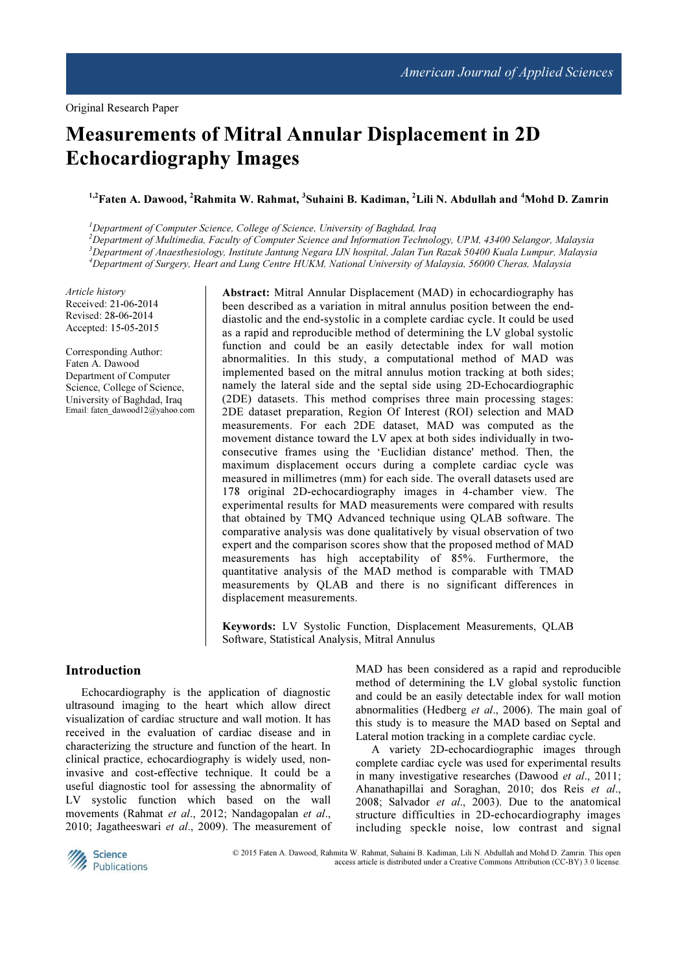# Measurements of Mitral Annular Displacement in 2D Echocardiography Images

<sup>1,2</sup>Faten A. Dawood, <sup>2</sup>Rahmita W. Rahmat, <sup>3</sup>Suhaini B. Kadiman, <sup>2</sup>Lili N. Abdullah and <sup>4</sup>Mohd D. Zamrin

 ${}^{1}$ Department of Computer Science, College of Science, University of Baghdad, Iraq

 $^{2}$ Department of Multimedia, Faculty of Computer Science and Information Technology, UPM, 43400 Selangor, Malaysia <sup>3</sup>Department of Anaesthesiology, Institute Jantung Negara IJN hospital, Jalan Tun Razak 50400 Kuala Lumpur, Malaysia <sup>4</sup>Department of Surgery, Heart and Lung Centre HUKM, National University of Malaysia, 56000 Cheras, Malaysia

Article history Received: 21-06-2014 Revised: 28-06-2014 Accepted: 15-05-2015

Corresponding Author: Faten A. Dawood Department of Computer Science, College of Science, University of Baghdad, Iraq Email: faten\_dawood12@yahoo.com Abstract: Mitral Annular Displacement (MAD) in echocardiography has been described as a variation in mitral annulus position between the enddiastolic and the end-systolic in a complete cardiac cycle. It could be used as a rapid and reproducible method of determining the LV global systolic function and could be an easily detectable index for wall motion abnormalities. In this study, a computational method of MAD was implemented based on the mitral annulus motion tracking at both sides; namely the lateral side and the septal side using 2D-Echocardiographic (2DE) datasets. This method comprises three main processing stages: 2DE dataset preparation, Region Of Interest (ROI) selection and MAD measurements. For each 2DE dataset, MAD was computed as the movement distance toward the LV apex at both sides individually in twoconsecutive frames using the 'Euclidian distance' method. Then, the maximum displacement occurs during a complete cardiac cycle was measured in millimetres (mm) for each side. The overall datasets used are 178 original 2D-echocardiography images in 4-chamber view. The experimental results for MAD measurements were compared with results that obtained by TMQ Advanced technique using QLAB software. The comparative analysis was done qualitatively by visual observation of two expert and the comparison scores show that the proposed method of MAD measurements has high acceptability of 85%. Furthermore, the quantitative analysis of the MAD method is comparable with TMAD measurements by QLAB and there is no significant differences in displacement measurements.

Keywords: LV Systolic Function, Displacement Measurements, QLAB Software, Statistical Analysis, Mitral Annulus

## Introduction

Echocardiography is the application of diagnostic ultrasound imaging to the heart which allow direct visualization of cardiac structure and wall motion. It has received in the evaluation of cardiac disease and in characterizing the structure and function of the heart. In clinical practice, echocardiography is widely used, noninvasive and cost-effective technique. It could be a useful diagnostic tool for assessing the abnormality of LV systolic function which based on the wall movements (Rahmat et al., 2012; Nandagopalan et al., 2010; Jagatheeswari et al., 2009). The measurement of MAD has been considered as a rapid and reproducible method of determining the LV global systolic function and could be an easily detectable index for wall motion abnormalities (Hedberg et al., 2006). The main goal of this study is to measure the MAD based on Septal and Lateral motion tracking in a complete cardiac cycle.

A variety 2D-echocardiographic images through complete cardiac cycle was used for experimental results in many investigative researches (Dawood et al., 2011; Ahanathapillai and Soraghan, 2010; dos Reis et al., 2008; Salvador et al., 2003). Due to the anatomical structure difficulties in 2D-echocardiography images including speckle noise, low contrast and signal



© 2015 Faten A. Dawood, Rahmita W. Rahmat, Suhaini B. Kadiman, Lili N. Abdullah and Mohd D. Zamrin. This open access article is distributed under a Creative Commons Attribution (CC-BY) 3.0 license.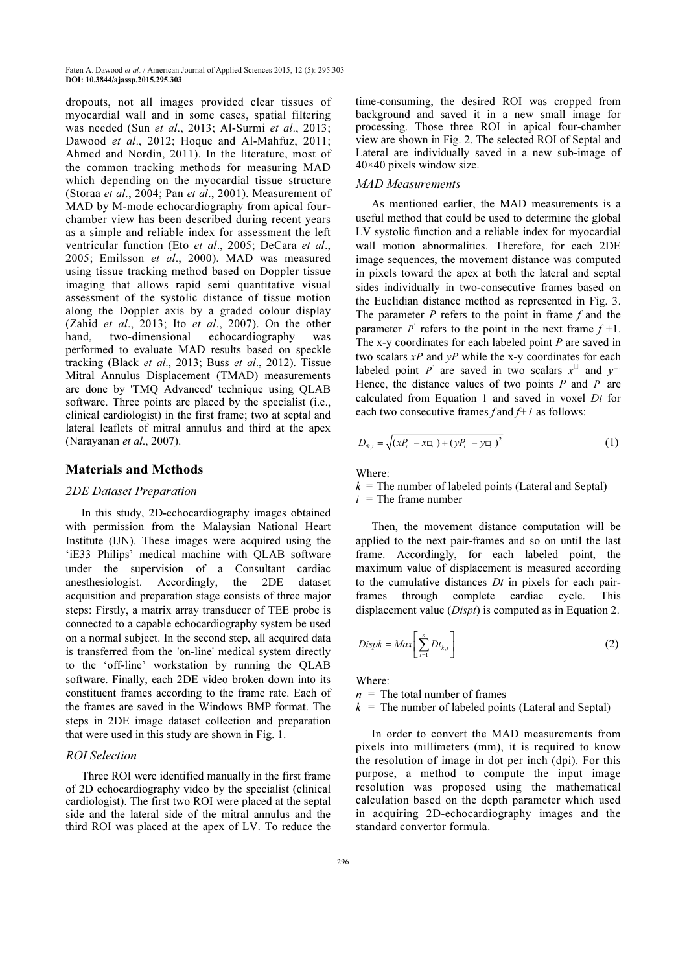dropouts, not all images provided clear tissues of myocardial wall and in some cases, spatial filtering was needed (Sun et al., 2013; Al-Surmi et al., 2013; Dawood et al., 2012; Hoque and Al-Mahfuz, 2011; Ahmed and Nordin, 2011). In the literature, most of the common tracking methods for measuring MAD which depending on the myocardial tissue structure (Storaa et al., 2004; Pan et al., 2001). Measurement of MAD by M-mode echocardiography from apical fourchamber view has been described during recent years as a simple and reliable index for assessment the left ventricular function (Eto et al., 2005; DeCara et al., 2005; Emilsson et al., 2000). MAD was measured using tissue tracking method based on Doppler tissue imaging that allows rapid semi quantitative visual assessment of the systolic distance of tissue motion along the Doppler axis by a graded colour display (Zahid et al., 2013; Ito et al., 2007). On the other hand, two-dimensional echocardiography was performed to evaluate MAD results based on speckle tracking (Black et al., 2013; Buss et al., 2012). Tissue Mitral Annulus Displacement (TMAD) measurements are done by 'TMQ Advanced' technique using QLAB software. Three points are placed by the specialist (i.e., clinical cardiologist) in the first frame; two at septal and lateral leaflets of mitral annulus and third at the apex (Narayanan et al., 2007).

## Materials and Methods

#### 2DE Dataset Preparation

In this study, 2D-echocardiography images obtained with permission from the Malaysian National Heart Institute (IJN). These images were acquired using the 'iE33 Philips' medical machine with QLAB software under the supervision of a Consultant cardiac anesthesiologist. Accordingly, the 2DE dataset acquisition and preparation stage consists of three major steps: Firstly, a matrix array transducer of TEE probe is connected to a capable echocardiography system be used on a normal subject. In the second step, all acquired data is transferred from the 'on-line' medical system directly to the 'off-line' workstation by running the QLAB software. Finally, each 2DE video broken down into its constituent frames according to the frame rate. Each of the frames are saved in the Windows BMP format. The steps in 2DE image dataset collection and preparation that were used in this study are shown in Fig. 1.

# ROI Selection

Three ROI were identified manually in the first frame of 2D echocardiography video by the specialist (clinical cardiologist). The first two ROI were placed at the septal side and the lateral side of the mitral annulus and the third ROI was placed at the apex of LV. To reduce the time-consuming, the desired ROI was cropped from background and saved it in a new small image for processing. Those three ROI in apical four-chamber view are shown in Fig. 2. The selected ROI of Septal and Lateral are individually saved in a new sub-image of 40×40 pixels window size.

#### MAD Measurements

As mentioned earlier, the MAD measurements is a useful method that could be used to determine the global LV systolic function and a reliable index for myocardial wall motion abnormalities. Therefore, for each 2DE image sequences, the movement distance was computed in pixels toward the apex at both the lateral and septal sides individually in two-consecutive frames based on the Euclidian distance method as represented in Fig. 3. The parameter  $P$  refers to the point in frame  $f$  and the parameter  $\vec{P}$  refers to the point in the next frame  $f + 1$ . The x-y coordinates for each labeled point P are saved in two scalars  $xP$  and  $yP$  while the x-y coordinates for each labeled point P are saved in two scalars  $x^{\Box}$  and y Hence, the distance values of two points  $P$  and  $P$  are calculated from Equation 1 and saved in voxel Dt for each two consecutive frames f and  $f+1$  as follows:

$$
D_{ik,i} = \sqrt{(xP_i - x\Box_i) + (yP_i - y\Box_i)^2}
$$
 (1)

Where:

 $k =$  The number of labeled points (Lateral and Septal)  $i =$ The frame number

Then, the movement distance computation will be applied to the next pair-frames and so on until the last frame. Accordingly, for each labeled point, the maximum value of displacement is measured according to the cumulative distances  $Dt$  in pixels for each pairframes through complete cardiac cycle. This displacement value *(Dispt)* is computed as in Equation 2.

$$
Dispk = Max \bigg[ \sum_{i=1}^{n} Dt_{k,i} \bigg] \tag{2}
$$

Where:

 $n =$ The total number of frames

 $k =$ The number of labeled points (Lateral and Septal)

In order to convert the MAD measurements from pixels into millimeters (mm), it is required to know the resolution of image in dot per inch (dpi). For this purpose, a method to compute the input image resolution was proposed using the mathematical calculation based on the depth parameter which used in acquiring 2D-echocardiography images and the standard convertor formula.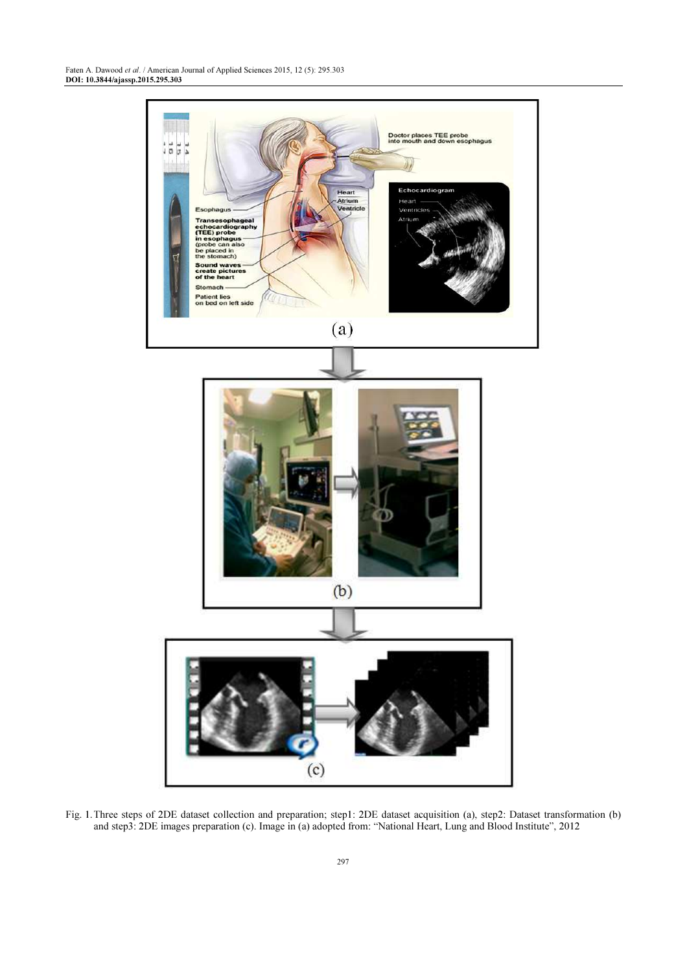

Fig. 1. Three steps of 2DE dataset collection and preparation; step1: 2DE dataset acquisition (a), step2: Dataset transformation (b) and step3: 2DE images preparation (c). Image in (a) adopted from: "National Heart, Lung and Blood Institute", 2012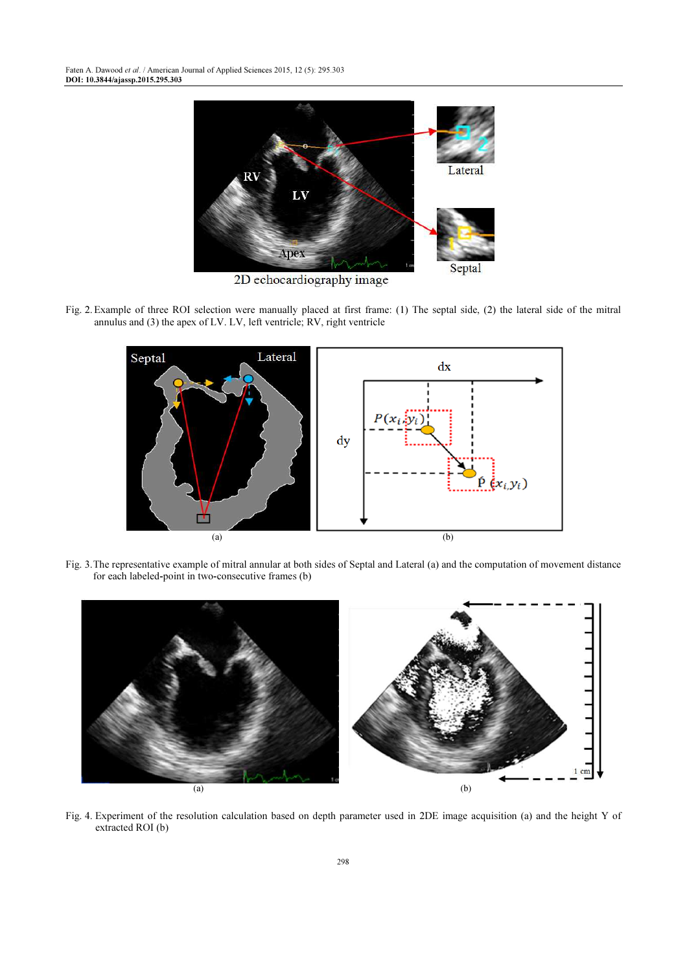

2D echocardiography image

Fig. 2. Example of three ROI selection were manually placed at first frame: (1) The septal side, (2) the lateral side of the mitral annulus and (3) the apex of LV. LV, left ventricle; RV, right ventricle



Fig. 3. The representative example of mitral annular at both sides of Septal and Lateral (a) and the computation of movement distance for each labeled-point in two-consecutive frames (b)



Fig. 4. Experiment of the resolution calculation based on depth parameter used in 2DE image acquisition (a) and the height Y of extracted ROI (b)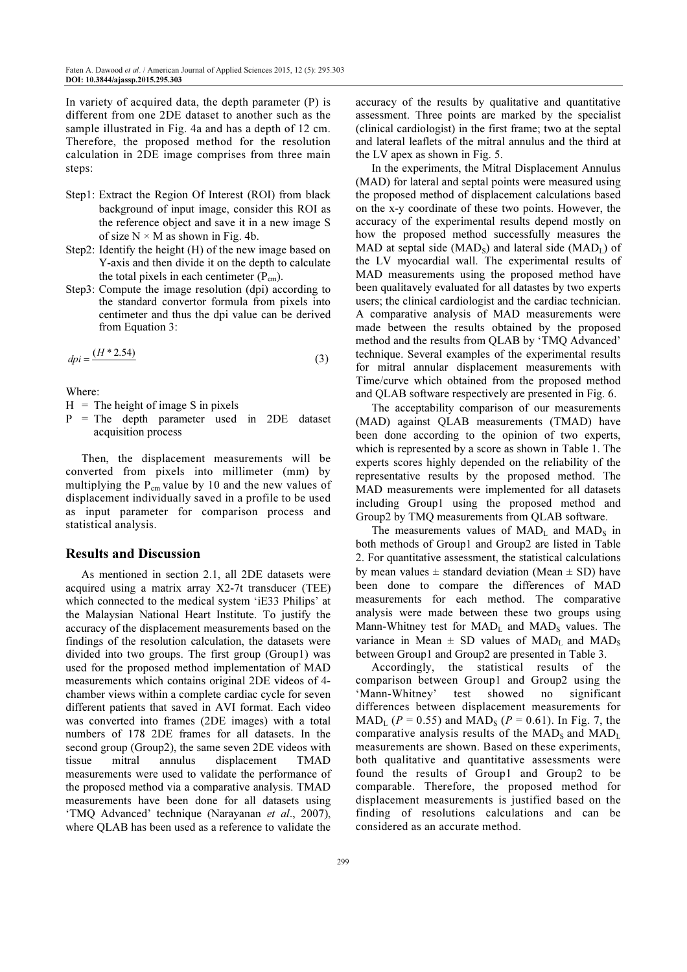In variety of acquired data, the depth parameter (P) is different from one 2DE dataset to another such as the sample illustrated in Fig. 4a and has a depth of 12 cm. Therefore, the proposed method for the resolution calculation in 2DE image comprises from three main steps:

- Step1: Extract the Region Of Interest (ROI) from black background of input image, consider this ROI as the reference object and save it in a new image S of size  $N \times M$  as shown in Fig. 4b.
- Step2: Identify the height (H) of the new image based on Y-axis and then divide it on the depth to calculate the total pixels in each centimeter  $(P_{cm})$ .
- Step3: Compute the image resolution (dpi) according to the standard convertor formula from pixels into centimeter and thus the dpi value can be derived from Equation 3:

$$
d\mathbf{p}i = \frac{(H \ast 2.54)}{(1 + 2.54)}
$$

Where:

 $H =$ The height of image S in pixels

P = The depth parameter used in 2DE dataset acquisition process

Then, the displacement measurements will be converted from pixels into millimeter (mm) by multiplying the  $P_{cm}$  value by 10 and the new values of displacement individually saved in a profile to be used as input parameter for comparison process and statistical analysis.

## Results and Discussion

As mentioned in section 2.1, all 2DE datasets were acquired using a matrix array X2-7t transducer (TEE) which connected to the medical system 'iE33 Philips' at the Malaysian National Heart Institute. To justify the accuracy of the displacement measurements based on the findings of the resolution calculation, the datasets were divided into two groups. The first group (Group1) was used for the proposed method implementation of MAD measurements which contains original 2DE videos of 4 chamber views within a complete cardiac cycle for seven different patients that saved in AVI format. Each video was converted into frames (2DE images) with a total numbers of 178 2DE frames for all datasets. In the second group (Group2), the same seven 2DE videos with tissue mitral annulus displacement TMAD measurements were used to validate the performance of the proposed method via a comparative analysis. TMAD measurements have been done for all datasets using 'TMQ Advanced' technique (Narayanan et al., 2007), where QLAB has been used as a reference to validate the

accuracy of the results by qualitative and quantitative assessment. Three points are marked by the specialist (clinical cardiologist) in the first frame; two at the septal and lateral leaflets of the mitral annulus and the third at the LV apex as shown in Fig. 5.

In the experiments, the Mitral Displacement Annulus (MAD) for lateral and septal points were measured using the proposed method of displacement calculations based on the x-y coordinate of these two points. However, the accuracy of the experimental results depend mostly on how the proposed method successfully measures the MAD at septal side (MAD<sub>s</sub>) and lateral side (MAD<sub>I</sub>) of the LV myocardial wall. The experimental results of MAD measurements using the proposed method have been qualitavely evaluated for all datastes by two experts users; the clinical cardiologist and the cardiac technician. A comparative analysis of MAD measurements were made between the results obtained by the proposed method and the results from QLAB by 'TMQ Advanced' technique. Several examples of the experimental results for mitral annular displacement measurements with Time/curve which obtained from the proposed method and QLAB software respectively are presented in Fig. 6.

The acceptability comparison of our measurements (MAD) against QLAB measurements (TMAD) have been done according to the opinion of two experts, which is represented by a score as shown in Table 1. The experts scores highly depended on the reliability of the representative results by the proposed method. The MAD measurements were implemented for all datasets including Group1 using the proposed method and Group2 by TMQ measurements from QLAB software.

The measurements values of  $MAD<sub>L</sub>$  and  $MAD<sub>S</sub>$  in both methods of Group1 and Group2 are listed in Table 2. For quantitative assessment, the statistical calculations by mean values  $\pm$  standard deviation (Mean  $\pm$  SD) have been done to compare the differences of MAD measurements for each method. The comparative analysis were made between these two groups using Mann-Whitney test for  $MAD<sub>L</sub>$  and  $MAD<sub>S</sub>$  values. The variance in Mean  $\pm$  SD values of MAD<sub>I</sub> and MAD<sub>s</sub> between Group1 and Group2 are presented in Table 3.

Accordingly, the statistical results of the comparison between Group1 and Group2 using the 'Mann-Whitney' test showed no significant differences between displacement measurements for  $\text{MAD}_{\text{L}}$  (P = 0.55) and  $\text{MAD}_{\text{S}}$  (P = 0.61). In Fig. 7, the comparative analysis results of the  $MAD<sub>S</sub>$  and  $MAD<sub>L</sub>$ . measurements are shown. Based on these experiments, both qualitative and quantitative assessments were found the results of Group1 and Group2 to be comparable. Therefore, the proposed method for displacement measurements is justified based on the finding of resolutions calculations and can be considered as an accurate method.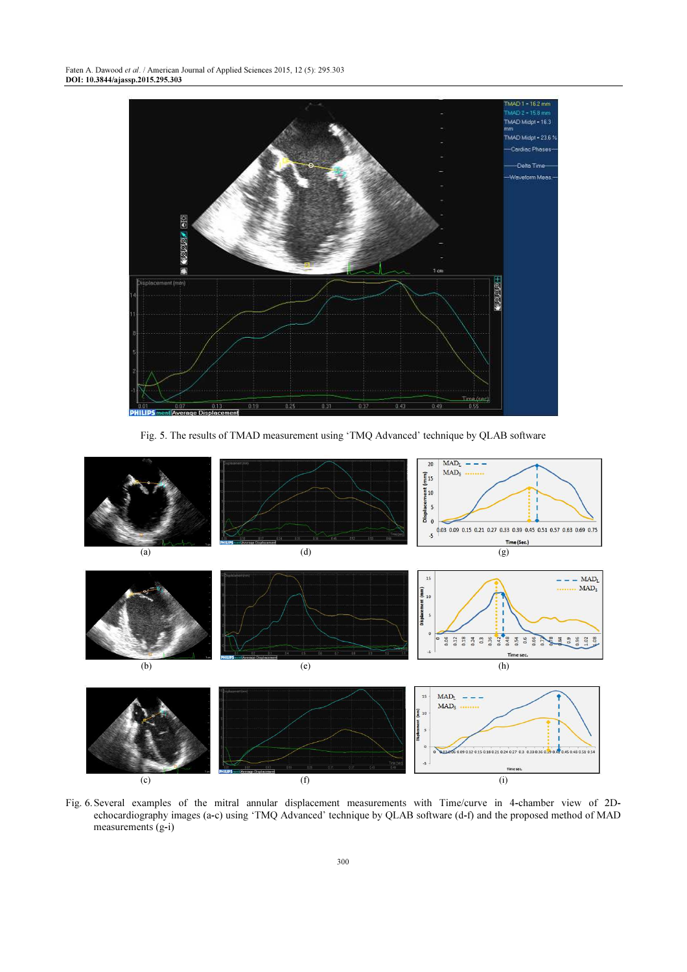

Fig. 5. The results of TMAD measurement using 'TMQ Advanced' technique by QLAB software



Fig. 6. Several examples of the mitral annular displacement measurements with Time/curve in 4-chamber view of 2Dechocardiography images (a-c) using 'TMQ Advanced' technique by QLAB software (d-f) and the proposed method of MAD measurements (g-i)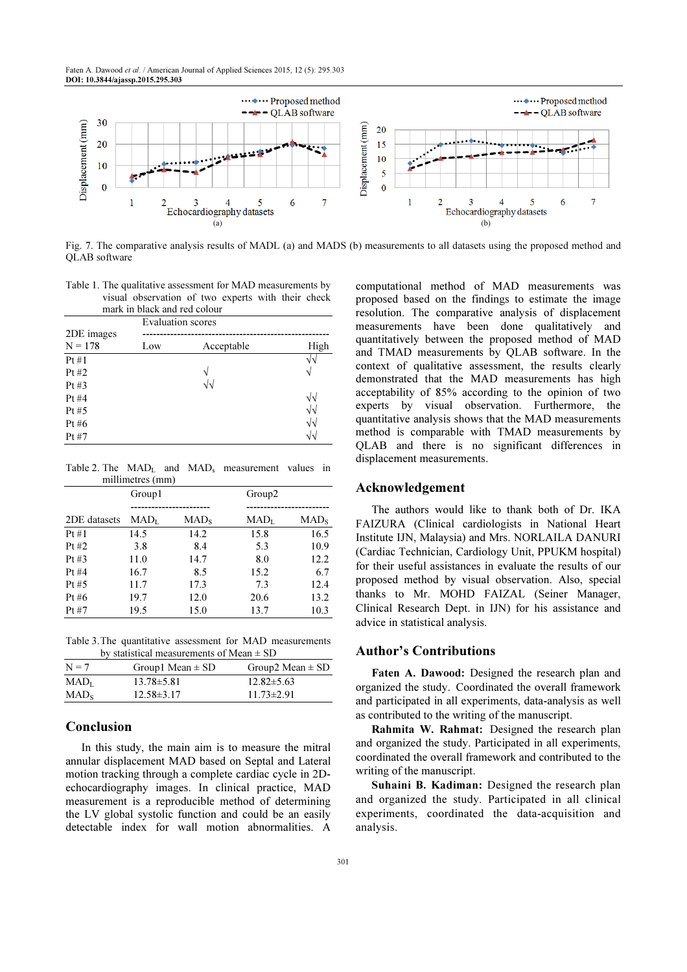Faten A. Dawood et al. / American Journal of Applied Sciences 2015, 12 (5): 295.303 DOI: 10.3844/ajassp.2015.295.303



Fig. 7. The comparative analysis results of MADL (a) and MADS (b) measurements to all datasets using the proposed method and QLAB software

Table 1. The qualitative assessment for MAD measurements by visual observation of two experts with their check mark in black and red colour

|            | <b>Evaluation</b> scores |            |            |
|------------|--------------------------|------------|------------|
| 2DE images |                          |            |            |
| $N = 178$  | Low                      | Acceptable | High       |
| Pt#1       |                          |            | V٦         |
| Pt $#2$    |                          | V          | ٦          |
| Pt $#3$    |                          | $\sqrt{2}$ |            |
| Pt $#4$    |                          |            | $\sqrt{v}$ |
| Pt#5       |                          |            | $\sqrt{2}$ |
| Pt# $6$    |                          |            | $\sqrt{2}$ |
| Pt#7       |                          |            | N١         |

Table 2. The  $MAD<sub>L</sub>$  and  $MAD<sub>s</sub>$  measurement values in millimetres (mm)

|              | Group1                                          |                         | Group <sub>2</sub>               |                         |
|--------------|-------------------------------------------------|-------------------------|----------------------------------|-------------------------|
|              |                                                 |                         |                                  |                         |
| 2DE datasets | $\mathrm{MAD}_{\scriptscriptstyle{\mathrm{I}}}$ | $\text{MAD}_{\text{s}}$ | $\rm MAD_{\scriptscriptstyle T}$ | $\text{MAD}_{\text{s}}$ |
| Pt#1         | 14.5                                            | 14.2                    | 15.8                             | 16.5                    |
| Pt $#2$      | 3.8                                             | 8.4                     | 5.3                              | 10.9                    |
| Pt#3         | 11.0                                            | 14.7                    | 8.0                              | 12.2                    |
| Pt#4         | 16.7                                            | 8.5                     | 15.2                             | 6.7                     |
| Pt#5         | 11.7                                            | 17.3                    | 7.3                              | 12.4                    |
| Pt #6        | 19.7                                            | 12.0                    | 20.6                             | 13.2                    |
| Pt#7         | 19.5                                            | 15.0                    | 13.7                             | 10.3                    |

Table 3. The quantitative assessment for MAD measurements by statistical measurements of Mean ± SD

|                                                   | $12.82 \pm 5.63$ | $13.78 \pm 5.81$<br>$\rm MAD_{I}$ |
|---------------------------------------------------|------------------|-----------------------------------|
| $12.58\pm3.17$<br>$11.73 \pm 2.91$<br>$\rm MAD_S$ |                  |                                   |

# Conclusion

In this study, the main aim is to measure the mitral annular displacement MAD based on Septal and Lateral motion tracking through a complete cardiac cycle in 2Dechocardiography images. In clinical practice, MAD measurement is a reproducible method of determining the LV global systolic function and could be an easily detectable index for wall motion abnormalities. A

computational method of MAD measurements was proposed based on the findings to estimate the image resolution. The comparative analysis of displacement measurements have been done qualitatively and quantitatively between the proposed method of MAD and TMAD measurements by QLAB software. In the context of qualitative assessment, the results clearly demonstrated that the MAD measurements has high acceptability of 85% according to the opinion of two experts by visual observation. Furthermore, the quantitative analysis shows that the MAD measurements method is comparable with TMAD measurements by QLAB and there is no significant differences in displacement measurements.

# Acknowledgement

The authors would like to thank both of Dr. IKA FAIZURA (Clinical cardiologists in National Heart Institute IJN, Malaysia) and Mrs. NORLAILA DANURI (Cardiac Technician, Cardiology Unit, PPUKM hospital) for their useful assistances in evaluate the results of our proposed method by visual observation. Also, special thanks to Mr. MOHD FAIZAL (Seiner Manager, Clinical Research Dept. in IJN) for his assistance and advice in statistical analysis.

#### Author's Contributions

Faten A. Dawood: Designed the research plan and organized the study. Coordinated the overall framework and participated in all experiments, data-analysis as well as contributed to the writing of the manuscript.

Rahmita W. Rahmat: Designed the research plan and organized the study. Participated in all experiments, coordinated the overall framework and contributed to the writing of the manuscript.

Suhaini B. Kadiman: Designed the research plan and organized the study. Participated in all clinical experiments, coordinated the data-acquisition and analysis.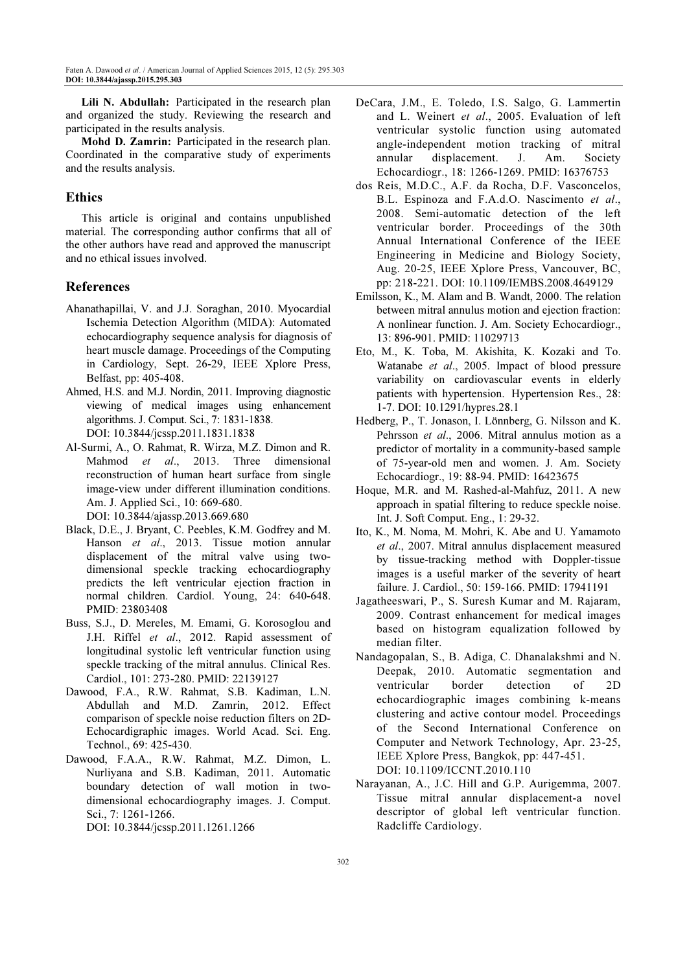Lili N. Abdullah: Participated in the research plan and organized the study. Reviewing the research and participated in the results analysis.

Mohd D. Zamrin: Participated in the research plan. Coordinated in the comparative study of experiments and the results analysis.

# Ethics

This article is original and contains unpublished material. The corresponding author confirms that all of the other authors have read and approved the manuscript and no ethical issues involved.

# References

- Ahanathapillai, V. and J.J. Soraghan, 2010. Myocardial Ischemia Detection Algorithm (MIDA): Automated echocardiography sequence analysis for diagnosis of heart muscle damage. Proceedings of the Computing in Cardiology, Sept. 26-29, IEEE Xplore Press, Belfast, pp: 405-408.
- Ahmed, H.S. and M.J. Nordin, 2011. Improving diagnostic viewing of medical images using enhancement algorithms. J. Comput. Sci., 7: 1831-1838. DOI: 10.3844/jcssp.2011.1831.1838
- Al-Surmi, A., O. Rahmat, R. Wirza, M.Z. Dimon and R. Mahmod et al., 2013. Three dimensional reconstruction of human heart surface from single image-view under different illumination conditions. Am. J. Applied Sci., 10: 669-680. DOI: 10.3844/ajassp.2013.669.680
- Black, D.E., J. Bryant, C. Peebles, K.M. Godfrey and M. Hanson et al., 2013. Tissue motion annular displacement of the mitral valve using twodimensional speckle tracking echocardiography predicts the left ventricular ejection fraction in normal children. Cardiol. Young, 24: 640-648. PMID: 23803408
- Buss, S.J., D. Mereles, M. Emami, G. Korosoglou and J.H. Riffel et al., 2012. Rapid assessment of longitudinal systolic left ventricular function using speckle tracking of the mitral annulus. Clinical Res. Cardiol., 101: 273-280. PMID: 22139127
- Dawood, F.A., R.W. Rahmat, S.B. Kadiman, L.N. Abdullah and M.D. Zamrin, 2012. Effect comparison of speckle noise reduction filters on 2D-Echocardigraphic images. World Acad. Sci. Eng. Technol., 69: 425-430.
- Dawood, F.A.A., R.W. Rahmat, M.Z. Dimon, L. Nurliyana and S.B. Kadiman, 2011. Automatic boundary detection of wall motion in twodimensional echocardiography images. J. Comput. Sci., 7: 1261-1266. DOI: 10.3844/jcssp.2011.1261.1266
- DeCara, J.M., E. Toledo, I.S. Salgo, G. Lammertin and L. Weinert et al., 2005. Evaluation of left ventricular systolic function using automated angle-independent motion tracking of mitral annular displacement. J. Am. Society Echocardiogr., 18: 1266-1269. PMID: 16376753
- dos Reis, M.D.C., A.F. da Rocha, D.F. Vasconcelos, B.L. Espinoza and F.A.d.O. Nascimento et al., 2008. Semi-automatic detection of the left ventricular border. Proceedings of the 30th Annual International Conference of the IEEE Engineering in Medicine and Biology Society, Aug. 20-25, IEEE Xplore Press, Vancouver, BC, pp: 218-221. DOI: 10.1109/IEMBS.2008.4649129
- Emilsson, K., M. Alam and B. Wandt, 2000. The relation between mitral annulus motion and ejection fraction: A nonlinear function. J. Am. Society Echocardiogr., 13: 896-901. PMID: 11029713
- Eto, M., K. Toba, M. Akishita, K. Kozaki and To. Watanabe et al., 2005. Impact of blood pressure variability on cardiovascular events in elderly patients with hypertension. Hypertension Res., 28: 1-7. DOI: 10.1291/hypres.28.1
- Hedberg, P., T. Jonason, I. Lönnberg, G. Nilsson and K. Pehrsson et al., 2006. Mitral annulus motion as a predictor of mortality in a community-based sample of 75-year-old men and women. J. Am. Society Echocardiogr., 19: 88-94. PMID: 16423675
- Hoque, M.R. and M. Rashed-al-Mahfuz, 2011. A new approach in spatial filtering to reduce speckle noise. Int. J. Soft Comput. Eng., 1: 29-32.
- Ito, K., M. Noma, M. Mohri, K. Abe and U. Yamamoto et al., 2007. Mitral annulus displacement measured by tissue-tracking method with Doppler-tissue images is a useful marker of the severity of heart failure. J. Cardiol., 50: 159-166. PMID: 17941191
- Jagatheeswari, P., S. Suresh Kumar and M. Rajaram, 2009. Contrast enhancement for medical images based on histogram equalization followed by median filter.
- Nandagopalan, S., B. Adiga, C. Dhanalakshmi and N. Deepak, 2010. Automatic segmentation and ventricular border detection of 2D echocardiographic images combining k-means clustering and active contour model. Proceedings of the Second International Conference on Computer and Network Technology, Apr. 23-25, IEEE Xplore Press, Bangkok, pp: 447-451. DOI: 10.1109/ICCNT.2010.110
- Narayanan, A., J.C. Hill and G.P. Aurigemma, 2007. Tissue mitral annular displacement-a novel descriptor of global left ventricular function. Radcliffe Cardiology.